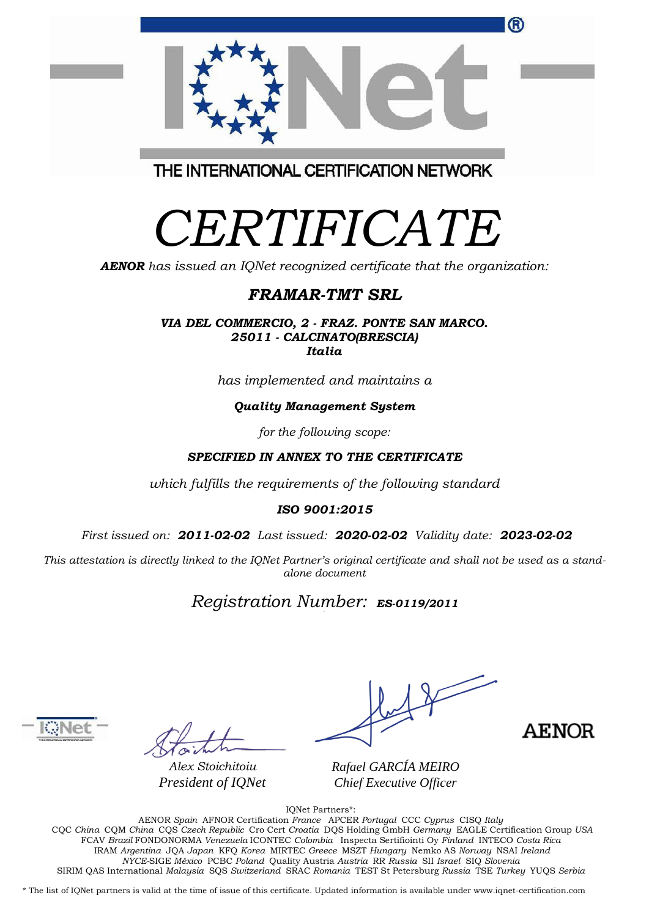| ®                                       |
|-----------------------------------------|
| THE INTERNATIONAL CERTIFICATION NETWORK |

# *CERTIFICATE*

*AENOR has issued an IQNet recognized certificate that the organization:*

## *FRAMAR-TMT SRL*

*VIA DEL COMMERCIO, 2 - FRAZ. PONTE SAN MARCO. 25011 - CALCINATO(BRESCIA) Italia*

*has implemented and maintains a*

#### *Quality Management System*

*for the following scope:*

#### *SPECIFIED IN ANNEX TO THE CERTIFICATE*

*which fulfills the requirements of the following standard*

#### *ISO 9001:2015*

*First issued on: 2011-02-02 Last issued: 2020-02-02 Validity date: 2023-02-02*

This attestation is directly linked to the IQNet Partner's original certificate and shall not be used as a stand*alone document*

## *Registration Number: ES-0119/2011*



*Alex Stoichitoiu President of IQNet*

**AENOR** 

*Rafael GARCÍA MEIRO Chief Executive Officer*

IQNet Partners\*:

AENOR *Spain* AFNOR Certification *France* APCER *Portugal* CCC *Cyprus* CISQ *Italy* CQC *China* CQM *China* CQS *Czech Republic* Cro Cert *Croatia* DQS Holding GmbH *Germany* EAGLE Certification Group *USA* FCAV *Brazil* FONDONORMA *Venezuela* ICONTEC *Colombia* Inspecta Sertifiointi Oy *Finland* INTECO *Costa Rica* IRAM *Argentina* JQA *Japan* KFQ *Korea* MIRTEC *Greece* MSZT *Hungary* Nemko AS *Norway* NSAI *Ireland NYCE-*SIGE *México* PCBC *Poland* Quality Austria *Austria* RR *Russia* SII *Israel* SIQ *Slovenia* SIRIM QAS International *Malaysia* SQS *Switzerland* SRAC *Romania* TEST St Petersburg *Russia* TSE *Turkey* YUQS *Serbia*

\* The list of IQNet partners is valid at the time of issue of this certificate. Updated information is available under www.iqnet-certification.com